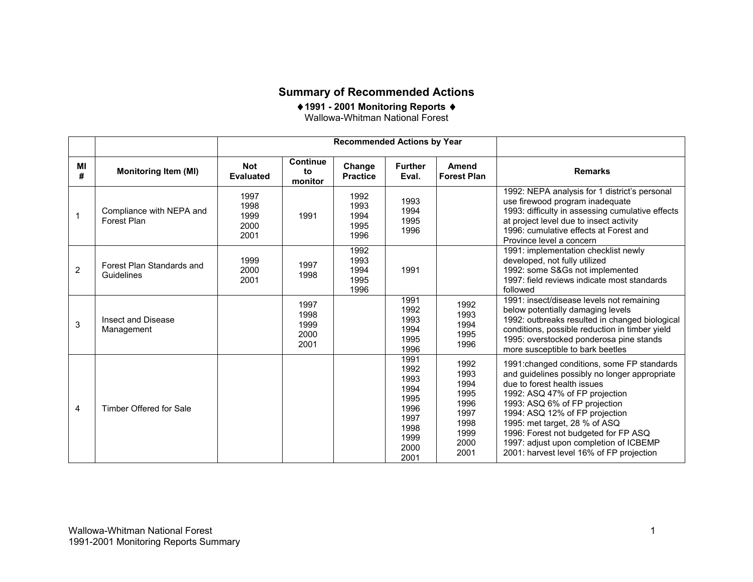## **Summary of Recommended Actions**

♦**1991 - 2001 Monitoring Reports**  ♦ Wallowa-Whitman National Forest

|                |                                         |                                      |                                      | <b>Recommended Actions by Year</b>   |                                                                                      |                                                                              |                                                                                                                                                                                                                                                                                                                                                                                                 |
|----------------|-----------------------------------------|--------------------------------------|--------------------------------------|--------------------------------------|--------------------------------------------------------------------------------------|------------------------------------------------------------------------------|-------------------------------------------------------------------------------------------------------------------------------------------------------------------------------------------------------------------------------------------------------------------------------------------------------------------------------------------------------------------------------------------------|
| MI<br>#        | <b>Monitoring Item (MI)</b>             | <b>Not</b><br><b>Evaluated</b>       | <b>Continue</b><br>to<br>monitor     | Change<br><b>Practice</b>            | <b>Further</b><br>Eval.                                                              | Amend<br><b>Forest Plan</b>                                                  | <b>Remarks</b>                                                                                                                                                                                                                                                                                                                                                                                  |
| 1              | Compliance with NEPA and<br>Forest Plan | 1997<br>1998<br>1999<br>2000<br>2001 | 1991                                 | 1992<br>1993<br>1994<br>1995<br>1996 | 1993<br>1994<br>1995<br>1996                                                         |                                                                              | 1992: NEPA analysis for 1 district's personal<br>use firewood program inadequate<br>1993: difficulty in assessing cumulative effects<br>at project level due to insect activity<br>1996: cumulative effects at Forest and<br>Province level a concern                                                                                                                                           |
| $\overline{2}$ | Forest Plan Standards and<br>Guidelines | 1999<br>2000<br>2001                 | 1997<br>1998                         | 1992<br>1993<br>1994<br>1995<br>1996 | 1991                                                                                 |                                                                              | 1991: implementation checklist newly<br>developed, not fully utilized<br>1992: some S&Gs not implemented<br>1997: field reviews indicate most standards<br>followed                                                                                                                                                                                                                             |
| 3              | <b>Insect and Disease</b><br>Management |                                      | 1997<br>1998<br>1999<br>2000<br>2001 |                                      | 1991<br>1992<br>1993<br>1994<br>1995<br>1996                                         | 1992<br>1993<br>1994<br>1995<br>1996                                         | 1991: insect/disease levels not remaining<br>below potentially damaging levels<br>1992: outbreaks resulted in changed biological<br>conditions, possible reduction in timber yield<br>1995: overstocked ponderosa pine stands<br>more susceptible to bark beetles                                                                                                                               |
| 4              | Timber Offered for Sale                 |                                      |                                      |                                      | 1991<br>1992<br>1993<br>1994<br>1995<br>1996<br>1997<br>1998<br>1999<br>2000<br>2001 | 1992<br>1993<br>1994<br>1995<br>1996<br>1997<br>1998<br>1999<br>2000<br>2001 | 1991: changed conditions, some FP standards<br>and guidelines possibly no longer appropriate<br>due to forest health issues<br>1992: ASQ 47% of FP projection<br>1993: ASQ 6% of FP projection<br>1994: ASQ 12% of FP projection<br>1995: met target, 28 % of ASQ<br>1996: Forest not budgeted for FP ASQ<br>1997: adjust upon completion of ICBEMP<br>2001: harvest level 16% of FP projection |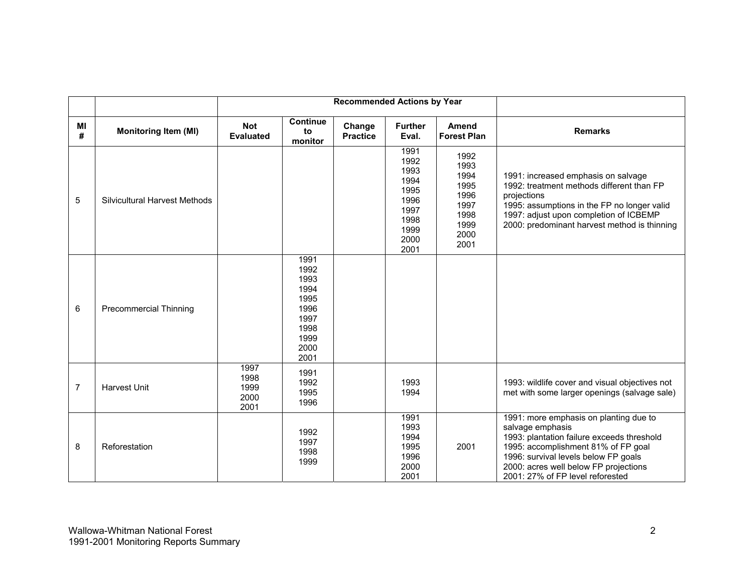|         |                               |                                                                                      | <b>Recommended Actions by Year</b> |                                                                                      |                                                                              |                                                                                                                                                                                                                                                                      |
|---------|-------------------------------|--------------------------------------------------------------------------------------|------------------------------------|--------------------------------------------------------------------------------------|------------------------------------------------------------------------------|----------------------------------------------------------------------------------------------------------------------------------------------------------------------------------------------------------------------------------------------------------------------|
| МI<br># | <b>Monitoring Item (MI)</b>   | Continue<br><b>Not</b><br>to<br><b>Evaluated</b><br>monitor                          | Change<br><b>Practice</b>          | <b>Further</b><br>Eval.                                                              | Amend<br><b>Forest Plan</b>                                                  | <b>Remarks</b>                                                                                                                                                                                                                                                       |
| 5       | Silvicultural Harvest Methods |                                                                                      |                                    | 1991<br>1992<br>1993<br>1994<br>1995<br>1996<br>1997<br>1998<br>1999<br>2000<br>2001 | 1992<br>1993<br>1994<br>1995<br>1996<br>1997<br>1998<br>1999<br>2000<br>2001 | 1991: increased emphasis on salvage<br>1992: treatment methods different than FP<br>projections<br>1995: assumptions in the FP no longer valid<br>1997: adjust upon completion of ICBEMP<br>2000: predominant harvest method is thinning                             |
| 6       | <b>Precommercial Thinning</b> | 1991<br>1992<br>1993<br>1994<br>1995<br>1996<br>1997<br>1998<br>1999<br>2000<br>2001 |                                    |                                                                                      |                                                                              |                                                                                                                                                                                                                                                                      |
| 7       | <b>Harvest Unit</b>           | 1997<br>1991<br>1998<br>1992<br>1999<br>1995<br>2000<br>1996<br>2001                 |                                    | 1993<br>1994                                                                         |                                                                              | 1993: wildlife cover and visual objectives not<br>met with some larger openings (salvage sale)                                                                                                                                                                       |
| 8       | Reforestation                 | 1992<br>1997<br>1998<br>1999                                                         |                                    | 1991<br>1993<br>1994<br>1995<br>1996<br>2000<br>2001                                 | 2001                                                                         | 1991: more emphasis on planting due to<br>salvage emphasis<br>1993: plantation failure exceeds threshold<br>1995: accomplishment 81% of FP goal<br>1996: survival levels below FP goals<br>2000: acres well below FP projections<br>2001: 27% of FP level reforested |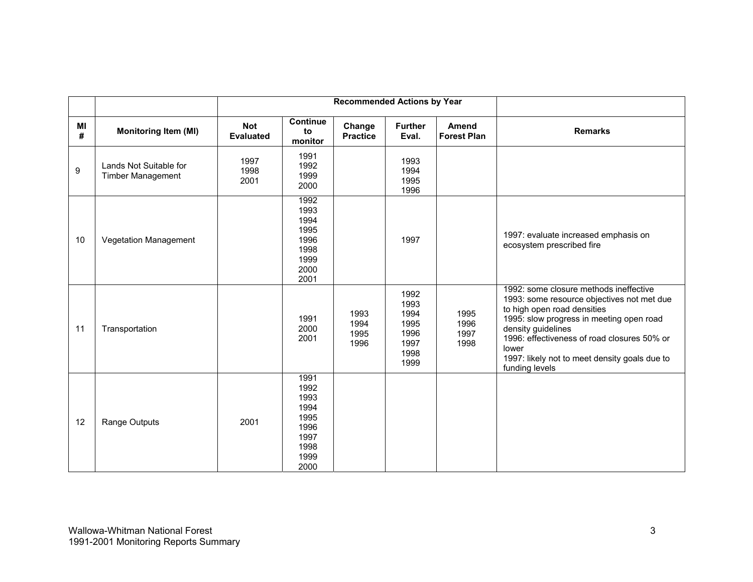|                  |                                             |                                |                                                                              | <b>Recommended Actions by Year</b> |                                                              |                                    |                                                                                                                                                                                                                                                                                                                  |
|------------------|---------------------------------------------|--------------------------------|------------------------------------------------------------------------------|------------------------------------|--------------------------------------------------------------|------------------------------------|------------------------------------------------------------------------------------------------------------------------------------------------------------------------------------------------------------------------------------------------------------------------------------------------------------------|
| MI<br>#          | <b>Monitoring Item (MI)</b>                 | <b>Not</b><br><b>Evaluated</b> | Continue<br>to<br>monitor                                                    | Change<br><b>Practice</b>          | <b>Further</b><br>Eval.                                      | <b>Amend</b><br><b>Forest Plan</b> | <b>Remarks</b>                                                                                                                                                                                                                                                                                                   |
| $\boldsymbol{9}$ | Lands Not Suitable for<br>Timber Management | 1997<br>1998<br>2001           | 1991<br>1992<br>1999<br>2000                                                 |                                    | 1993<br>1994<br>1995<br>1996                                 |                                    |                                                                                                                                                                                                                                                                                                                  |
| 10               | Vegetation Management                       |                                | 1992<br>1993<br>1994<br>1995<br>1996<br>1998<br>1999<br>2000<br>2001         |                                    | 1997                                                         |                                    | 1997: evaluate increased emphasis on<br>ecosystem prescribed fire                                                                                                                                                                                                                                                |
| 11               | Transportation                              |                                | 1991<br>2000<br>2001                                                         | 1993<br>1994<br>1995<br>1996       | 1992<br>1993<br>1994<br>1995<br>1996<br>1997<br>1998<br>1999 | 1995<br>1996<br>1997<br>1998       | 1992: some closure methods ineffective<br>1993: some resource objectives not met due<br>to high open road densities<br>1995: slow progress in meeting open road<br>density guidelines<br>1996: effectiveness of road closures 50% or<br>lower<br>1997: likely not to meet density goals due to<br>funding levels |
| 12               | Range Outputs                               | 2001                           | 1991<br>1992<br>1993<br>1994<br>1995<br>1996<br>1997<br>1998<br>1999<br>2000 |                                    |                                                              |                                    |                                                                                                                                                                                                                                                                                                                  |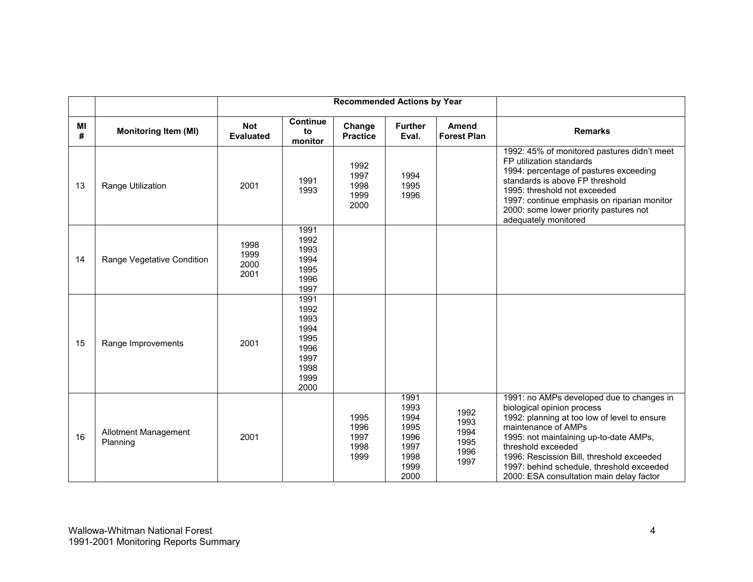|         |                                  |                                |                                                                              | <b>Recommended Actions by Year</b>   |                                                                      |                                              |                                                                                                                                                                                                                                                                                                                                                      |
|---------|----------------------------------|--------------------------------|------------------------------------------------------------------------------|--------------------------------------|----------------------------------------------------------------------|----------------------------------------------|------------------------------------------------------------------------------------------------------------------------------------------------------------------------------------------------------------------------------------------------------------------------------------------------------------------------------------------------------|
| MI<br># | <b>Monitoring Item (MI)</b>      | <b>Not</b><br><b>Evaluated</b> | Continue<br>to<br>monitor                                                    | Change<br><b>Practice</b>            | <b>Further</b><br>Eval.                                              | <b>Amend</b><br><b>Forest Plan</b>           | <b>Remarks</b>                                                                                                                                                                                                                                                                                                                                       |
| 13      | Range Utilization                | 2001                           | 1991<br>1993                                                                 | 1992<br>1997<br>1998<br>1999<br>2000 | 1994<br>1995<br>1996                                                 |                                              | 1992: 45% of monitored pastures didn't meet<br>FP utilization standards<br>1994: percentage of pastures exceeding<br>standards is above FP threshold<br>1995: threshold not exceeded<br>1997: continue emphasis on riparian monitor<br>2000: some lower priority pastures not<br>adequately monitored                                                |
| 14      | Range Vegetative Condition       | 1998<br>1999<br>2000<br>2001   | 1991<br>1992<br>1993<br>1994<br>1995<br>1996<br>1997                         |                                      |                                                                      |                                              |                                                                                                                                                                                                                                                                                                                                                      |
| 15      | Range Improvements               | 2001                           | 1991<br>1992<br>1993<br>1994<br>1995<br>1996<br>1997<br>1998<br>1999<br>2000 |                                      |                                                                      |                                              |                                                                                                                                                                                                                                                                                                                                                      |
| 16      | Allotment Management<br>Planning | 2001                           |                                                                              | 1995<br>1996<br>1997<br>1998<br>1999 | 1991<br>1993<br>1994<br>1995<br>1996<br>1997<br>1998<br>1999<br>2000 | 1992<br>1993<br>1994<br>1995<br>1996<br>1997 | 1991: no AMPs developed due to changes in<br>biological opinion process<br>1992: planning at too low of level to ensure<br>maintenance of AMPs<br>1995: not maintaining up-to-date AMPs,<br>threshold exceeded<br>1996: Rescission Bill, threshold exceeded<br>1997: behind schedule, threshold exceeded<br>2000: ESA consultation main delay factor |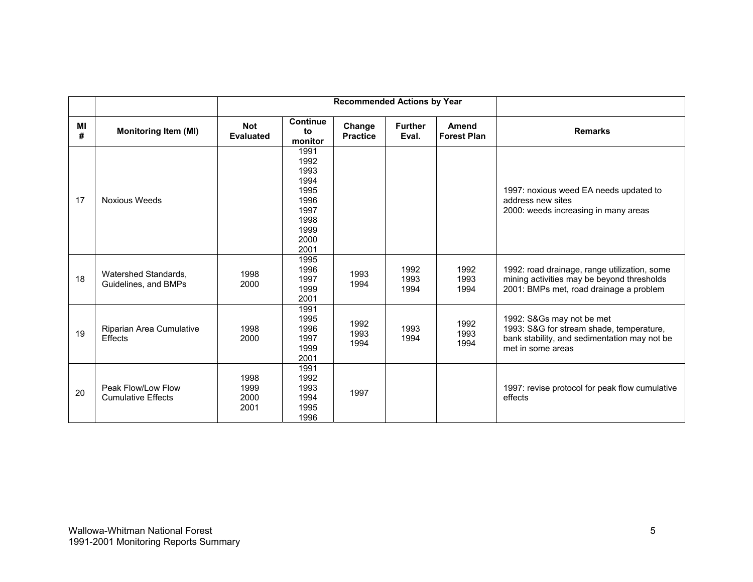|         |                                                 |                                |                                                                                      | <b>Recommended Actions by Year</b> |                         |                             |                                                                                                                                            |
|---------|-------------------------------------------------|--------------------------------|--------------------------------------------------------------------------------------|------------------------------------|-------------------------|-----------------------------|--------------------------------------------------------------------------------------------------------------------------------------------|
|         |                                                 |                                |                                                                                      |                                    |                         |                             |                                                                                                                                            |
| MI<br># | <b>Monitoring Item (MI)</b>                     | <b>Not</b><br><b>Evaluated</b> | <b>Continue</b><br>to<br>monitor                                                     | Change<br><b>Practice</b>          | <b>Further</b><br>Eval. | Amend<br><b>Forest Plan</b> | <b>Remarks</b>                                                                                                                             |
| 17      | <b>Noxious Weeds</b>                            |                                | 1991<br>1992<br>1993<br>1994<br>1995<br>1996<br>1997<br>1998<br>1999<br>2000<br>2001 |                                    |                         |                             | 1997: noxious weed EA needs updated to<br>address new sites<br>2000: weeds increasing in many areas                                        |
| 18      | Watershed Standards,<br>Guidelines, and BMPs    | 1998<br>2000                   | 1995<br>1996<br>1997<br>1999<br>2001                                                 | 1993<br>1994                       | 1992<br>1993<br>1994    | 1992<br>1993<br>1994        | 1992: road drainage, range utilization, some<br>mining activities may be beyond thresholds<br>2001: BMPs met, road drainage a problem      |
| 19      | Riparian Area Cumulative<br>Effects             | 1998<br>2000                   | 1991<br>1995<br>1996<br>1997<br>1999<br>2001                                         | 1992<br>1993<br>1994               | 1993<br>1994            | 1992<br>1993<br>1994        | 1992: S&Gs may not be met<br>1993: S&G for stream shade, temperature,<br>bank stability, and sedimentation may not be<br>met in some areas |
| 20      | Peak Flow/Low Flow<br><b>Cumulative Effects</b> | 1998<br>1999<br>2000<br>2001   | 1991<br>1992<br>1993<br>1994<br>1995<br>1996                                         | 1997                               |                         |                             | 1997: revise protocol for peak flow cumulative<br>effects                                                                                  |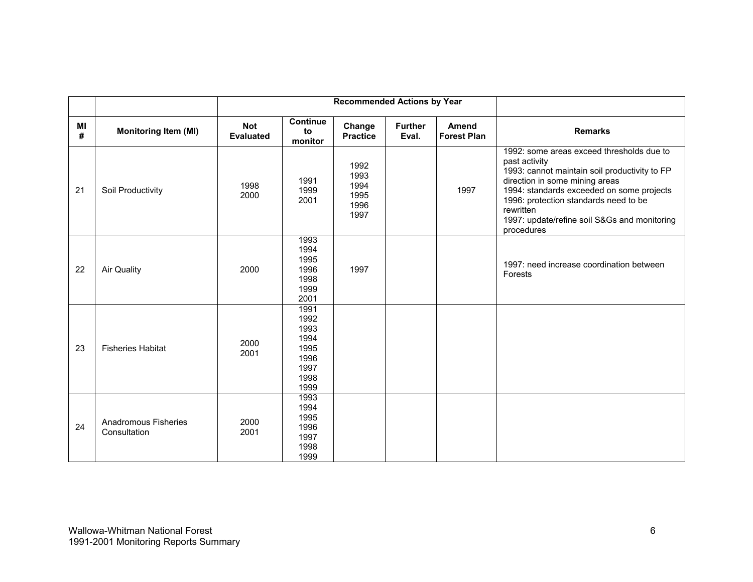|         |                                      |                                |                                                                      | <b>Recommended Actions by Year</b>           |                         |                             |                                                                                                                                                                                                                                                                                                                |
|---------|--------------------------------------|--------------------------------|----------------------------------------------------------------------|----------------------------------------------|-------------------------|-----------------------------|----------------------------------------------------------------------------------------------------------------------------------------------------------------------------------------------------------------------------------------------------------------------------------------------------------------|
| MI<br># | <b>Monitoring Item (MI)</b>          | <b>Not</b><br><b>Evaluated</b> | <b>Continue</b><br>to<br>monitor                                     | Change<br><b>Practice</b>                    | <b>Further</b><br>Eval. | Amend<br><b>Forest Plan</b> | <b>Remarks</b>                                                                                                                                                                                                                                                                                                 |
| 21      | Soil Productivity                    | 1998<br>2000                   | 1991<br>1999<br>2001                                                 | 1992<br>1993<br>1994<br>1995<br>1996<br>1997 |                         | 1997                        | 1992: some areas exceed thresholds due to<br>past activity<br>1993: cannot maintain soil productivity to FP<br>direction in some mining areas<br>1994: standards exceeded on some projects<br>1996: protection standards need to be<br>rewritten<br>1997: update/refine soil S&Gs and monitoring<br>procedures |
| 22      | <b>Air Quality</b>                   | 2000                           | 1993<br>1994<br>1995<br>1996<br>1998<br>1999<br>2001                 | 1997                                         |                         |                             | 1997: need increase coordination between<br>Forests                                                                                                                                                                                                                                                            |
| 23      | <b>Fisheries Habitat</b>             | 2000<br>2001                   | 1991<br>1992<br>1993<br>1994<br>1995<br>1996<br>1997<br>1998<br>1999 |                                              |                         |                             |                                                                                                                                                                                                                                                                                                                |
| 24      | Anadromous Fisheries<br>Consultation | 2000<br>2001                   | 1993<br>1994<br>1995<br>1996<br>1997<br>1998<br>1999                 |                                              |                         |                             |                                                                                                                                                                                                                                                                                                                |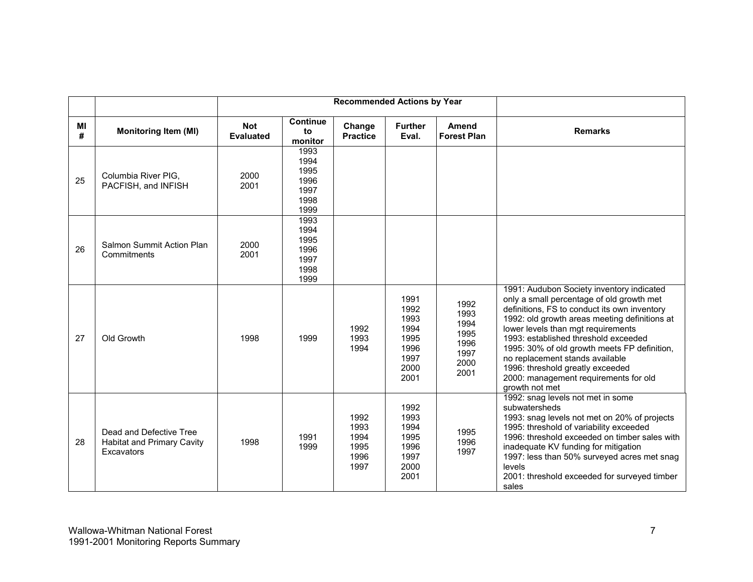|         |                                                                     | <b>Recommended Actions by Year</b> |                                                      |                                              |                                                                      |                                                              |                                                                                                                                                                                                                                                                                                                                                                                                                                                         |
|---------|---------------------------------------------------------------------|------------------------------------|------------------------------------------------------|----------------------------------------------|----------------------------------------------------------------------|--------------------------------------------------------------|---------------------------------------------------------------------------------------------------------------------------------------------------------------------------------------------------------------------------------------------------------------------------------------------------------------------------------------------------------------------------------------------------------------------------------------------------------|
| MI<br># | <b>Monitoring Item (MI)</b>                                         | <b>Not</b><br><b>Evaluated</b>     | <b>Continue</b><br>to<br>monitor                     | Change<br><b>Practice</b>                    | <b>Further</b><br>Eval.                                              | Amend<br><b>Forest Plan</b>                                  | <b>Remarks</b>                                                                                                                                                                                                                                                                                                                                                                                                                                          |
| 25      | Columbia River PIG,<br>PACFISH, and INFISH                          | 2000<br>2001                       | 1993<br>1994<br>1995<br>1996<br>1997<br>1998<br>1999 |                                              |                                                                      |                                                              |                                                                                                                                                                                                                                                                                                                                                                                                                                                         |
| 26      | Salmon Summit Action Plan<br>Commitments                            | 2000<br>2001                       | 1993<br>1994<br>1995<br>1996<br>1997<br>1998<br>1999 |                                              |                                                                      |                                                              |                                                                                                                                                                                                                                                                                                                                                                                                                                                         |
| 27      | Old Growth                                                          | 1998                               | 1999                                                 | 1992<br>1993<br>1994                         | 1991<br>1992<br>1993<br>1994<br>1995<br>1996<br>1997<br>2000<br>2001 | 1992<br>1993<br>1994<br>1995<br>1996<br>1997<br>2000<br>2001 | 1991: Audubon Society inventory indicated<br>only a small percentage of old growth met<br>definitions, FS to conduct its own inventory<br>1992: old growth areas meeting definitions at<br>lower levels than mgt requirements<br>1993: established threshold exceeded<br>1995: 30% of old growth meets FP definition,<br>no replacement stands available<br>1996: threshold greatly exceeded<br>2000: management requirements for old<br>growth not met |
| 28      | Dead and Defective Tree<br>Habitat and Primary Cavity<br>Excavators | 1998                               | 1991<br>1999                                         | 1992<br>1993<br>1994<br>1995<br>1996<br>1997 | 1992<br>1993<br>1994<br>1995<br>1996<br>1997<br>2000<br>2001         | 1995<br>1996<br>1997                                         | 1992: snag levels not met in some<br>subwatersheds<br>1993: snag levels not met on 20% of projects<br>1995: threshold of variability exceeded<br>1996: threshold exceeded on timber sales with<br>inadequate KV funding for mitigation<br>1997: less than 50% surveyed acres met snag<br>levels<br>2001: threshold exceeded for surveyed timber<br>sales                                                                                                |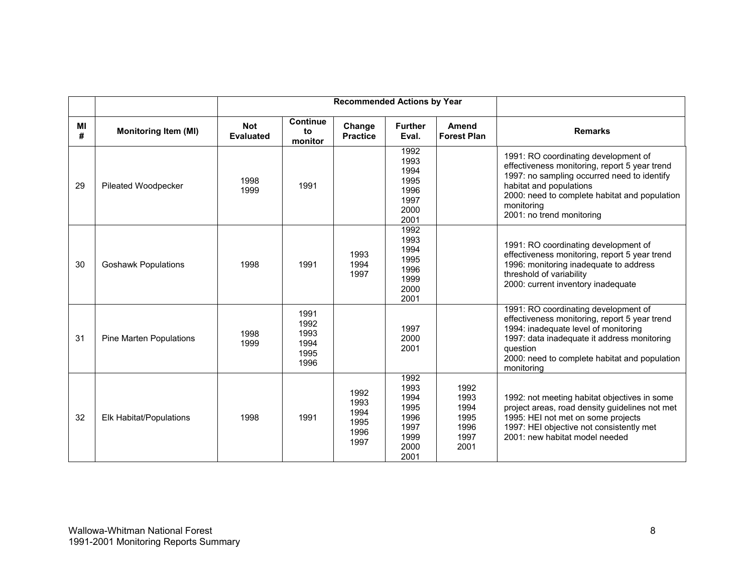|         |                                |                                |                                              | <b>Recommended Actions by Year</b>           |                                                                      |                                                      |                                                                                                                                                                                                                                                             |
|---------|--------------------------------|--------------------------------|----------------------------------------------|----------------------------------------------|----------------------------------------------------------------------|------------------------------------------------------|-------------------------------------------------------------------------------------------------------------------------------------------------------------------------------------------------------------------------------------------------------------|
| MI<br># | <b>Monitoring Item (MI)</b>    | <b>Not</b><br><b>Evaluated</b> | <b>Continue</b><br>to<br>monitor             | Change<br><b>Practice</b>                    | <b>Further</b><br>Eval.                                              | Amend<br><b>Forest Plan</b>                          | <b>Remarks</b>                                                                                                                                                                                                                                              |
| 29      | Pileated Woodpecker            | 1998<br>1999                   | 1991                                         |                                              | 1992<br>1993<br>1994<br>1995<br>1996<br>1997<br>2000<br>2001         |                                                      | 1991: RO coordinating development of<br>effectiveness monitoring, report 5 year trend<br>1997: no sampling occurred need to identify<br>habitat and populations<br>2000: need to complete habitat and population<br>monitoring<br>2001: no trend monitoring |
| 30      | <b>Goshawk Populations</b>     | 1998                           | 1991                                         | 1993<br>1994<br>1997                         | 1992<br>1993<br>1994<br>1995<br>1996<br>1999<br>2000<br>2001         |                                                      | 1991: RO coordinating development of<br>effectiveness monitoring, report 5 year trend<br>1996: monitoring inadequate to address<br>threshold of variability<br>2000: current inventory inadequate                                                           |
| 31      | <b>Pine Marten Populations</b> | 1998<br>1999                   | 1991<br>1992<br>1993<br>1994<br>1995<br>1996 |                                              | 1997<br>2000<br>2001                                                 |                                                      | 1991: RO coordinating development of<br>effectiveness monitoring, report 5 year trend<br>1994: inadequate level of monitoring<br>1997: data inadequate it address monitoring<br>question<br>2000: need to complete habitat and population<br>monitoring     |
| 32      | Elk Habitat/Populations        | 1998                           | 1991                                         | 1992<br>1993<br>1994<br>1995<br>1996<br>1997 | 1992<br>1993<br>1994<br>1995<br>1996<br>1997<br>1999<br>2000<br>2001 | 1992<br>1993<br>1994<br>1995<br>1996<br>1997<br>2001 | 1992: not meeting habitat objectives in some<br>project areas, road density guidelines not met<br>1995: HEI not met on some projects<br>1997: HEI objective not consistently met<br>2001: new habitat model needed                                          |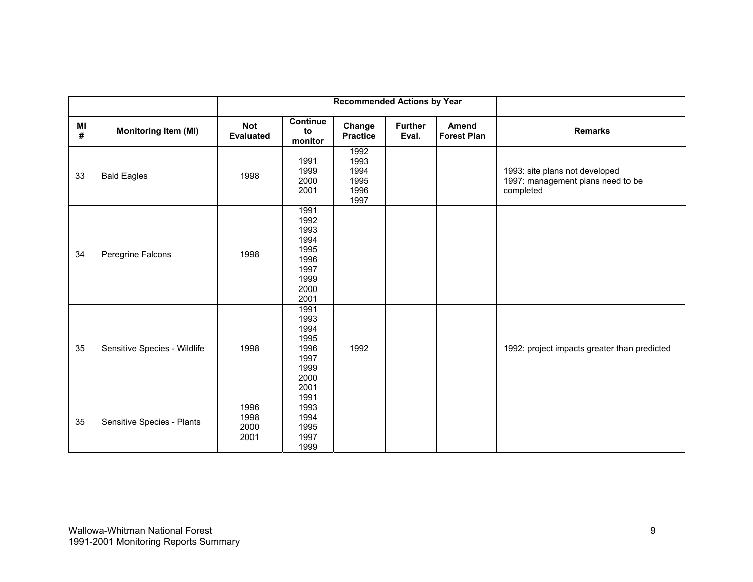| MI<br>$\pmb{\#}$ | <b>Monitoring Item (MI)</b>  | <b>Not</b><br><b>Evaluated</b> | Continue<br>to<br>monitor                                                    | Change<br><b>Practice</b>                    | <b>Further</b><br>Eval. | Amend<br><b>Forest Plan</b> | <b>Remarks</b>                                                                   |
|------------------|------------------------------|--------------------------------|------------------------------------------------------------------------------|----------------------------------------------|-------------------------|-----------------------------|----------------------------------------------------------------------------------|
| 33               | <b>Bald Eagles</b>           | 1998                           | 1991<br>1999<br>2000<br>2001                                                 | 1992<br>1993<br>1994<br>1995<br>1996<br>1997 |                         |                             | 1993: site plans not developed<br>1997: management plans need to be<br>completed |
| 34               | Peregrine Falcons            | 1998                           | 1991<br>1992<br>1993<br>1994<br>1995<br>1996<br>1997<br>1999<br>2000<br>2001 |                                              |                         |                             |                                                                                  |
| 35               | Sensitive Species - Wildlife | 1998                           | 1991<br>1993<br>1994<br>1995<br>1996<br>1997<br>1999<br>2000<br>2001         | 1992                                         |                         |                             | 1992: project impacts greater than predicted                                     |
| 35               | Sensitive Species - Plants   | 1996<br>1998<br>2000<br>2001   | 1991<br>1993<br>1994<br>1995<br>1997<br>1999                                 |                                              |                         |                             |                                                                                  |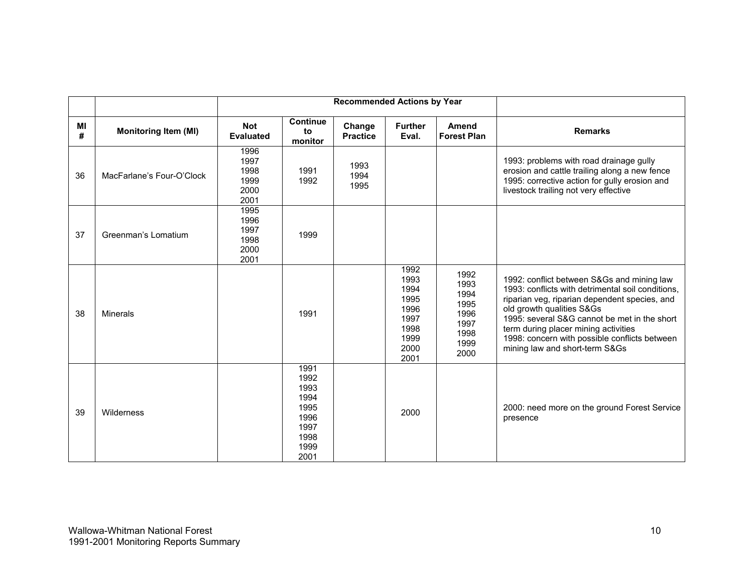|         |                             |                                              |                                                                              | <b>Recommended Actions by Year</b> |                                                                              |                                                                      |                                                                                                                                                                                                                                                                                                                                                          |
|---------|-----------------------------|----------------------------------------------|------------------------------------------------------------------------------|------------------------------------|------------------------------------------------------------------------------|----------------------------------------------------------------------|----------------------------------------------------------------------------------------------------------------------------------------------------------------------------------------------------------------------------------------------------------------------------------------------------------------------------------------------------------|
| MI<br># | <b>Monitoring Item (MI)</b> | <b>Not</b><br><b>Evaluated</b>               | <b>Continue</b><br>to<br>monitor                                             | Change<br><b>Practice</b>          | <b>Further</b><br>Eval.                                                      | Amend<br><b>Forest Plan</b>                                          | <b>Remarks</b>                                                                                                                                                                                                                                                                                                                                           |
| 36      | MacFarlane's Four-O'Clock   | 1996<br>1997<br>1998<br>1999<br>2000<br>2001 | 1991<br>1992                                                                 | 1993<br>1994<br>1995               |                                                                              |                                                                      | 1993: problems with road drainage gully<br>erosion and cattle trailing along a new fence<br>1995: corrective action for gully erosion and<br>livestock trailing not very effective                                                                                                                                                                       |
| 37      | Greenman's Lomatium         | 1995<br>1996<br>1997<br>1998<br>2000<br>2001 | 1999                                                                         |                                    |                                                                              |                                                                      |                                                                                                                                                                                                                                                                                                                                                          |
| 38      | <b>Minerals</b>             |                                              | 1991                                                                         |                                    | 1992<br>1993<br>1994<br>1995<br>1996<br>1997<br>1998<br>1999<br>2000<br>2001 | 1992<br>1993<br>1994<br>1995<br>1996<br>1997<br>1998<br>1999<br>2000 | 1992: conflict between S&Gs and mining law<br>1993: conflicts with detrimental soil conditions,<br>riparian veg, riparian dependent species, and<br>old growth qualities S&Gs<br>1995: several S&G cannot be met in the short<br>term during placer mining activities<br>1998: concern with possible conflicts between<br>mining law and short-term S&Gs |
| 39      | Wilderness                  |                                              | 1991<br>1992<br>1993<br>1994<br>1995<br>1996<br>1997<br>1998<br>1999<br>2001 |                                    | 2000                                                                         |                                                                      | 2000: need more on the ground Forest Service<br>presence                                                                                                                                                                                                                                                                                                 |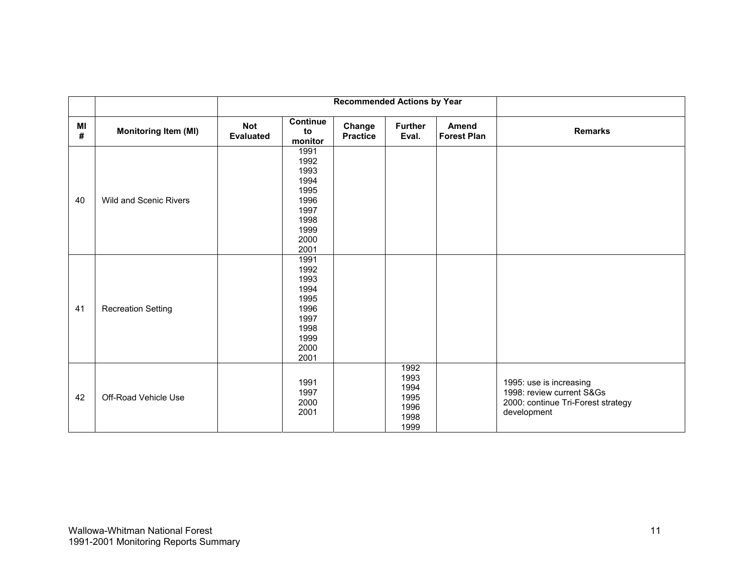| MI<br># | <b>Monitoring Item (MI)</b>   | <b>Not</b><br><b>Evaluated</b> | <b>Continue</b><br>to<br>monitor                                                     | Change<br><b>Practice</b> | <b>Further</b><br>Eval.                              | <b>Amend</b><br><b>Forest Plan</b> | <b>Remarks</b>                                                                                            |
|---------|-------------------------------|--------------------------------|--------------------------------------------------------------------------------------|---------------------------|------------------------------------------------------|------------------------------------|-----------------------------------------------------------------------------------------------------------|
| 40      | <b>Wild and Scenic Rivers</b> |                                | 1991<br>1992<br>1993<br>1994<br>1995<br>1996<br>1997<br>1998<br>1999<br>2000<br>2001 |                           |                                                      |                                    |                                                                                                           |
| 41      | <b>Recreation Setting</b>     |                                | 1991<br>1992<br>1993<br>1994<br>1995<br>1996<br>1997<br>1998<br>1999<br>2000<br>2001 |                           |                                                      |                                    |                                                                                                           |
| 42      | Off-Road Vehicle Use          |                                | 1991<br>1997<br>2000<br>2001                                                         |                           | 1992<br>1993<br>1994<br>1995<br>1996<br>1998<br>1999 |                                    | 1995: use is increasing<br>1998: review current S&Gs<br>2000: continue Tri-Forest strategy<br>development |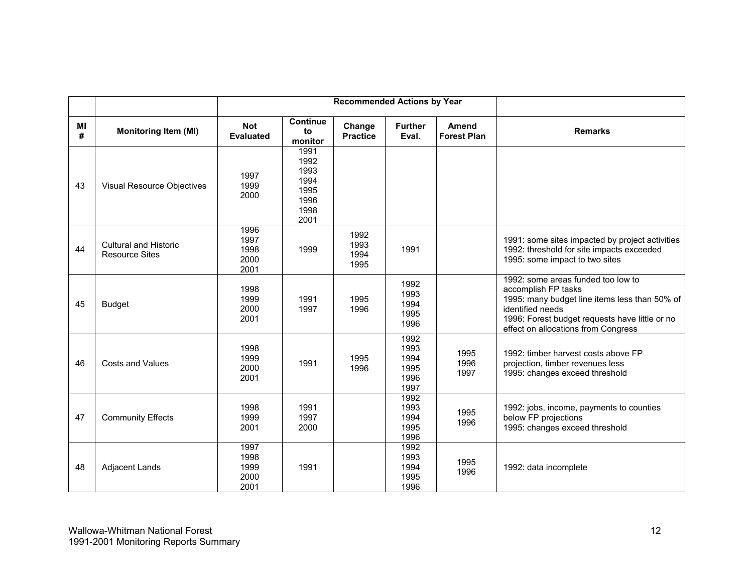|         |                                                       |                                      |                                                              | <b>Recommended Actions by Year</b> |                                              |                                    |                                                                                                                                                                                                                         |
|---------|-------------------------------------------------------|--------------------------------------|--------------------------------------------------------------|------------------------------------|----------------------------------------------|------------------------------------|-------------------------------------------------------------------------------------------------------------------------------------------------------------------------------------------------------------------------|
| MI<br># | <b>Monitoring Item (MI)</b>                           | <b>Not</b><br><b>Evaluated</b>       | <b>Continue</b><br>to<br>monitor                             | Change<br><b>Practice</b>          | <b>Further</b><br>Eval.                      | <b>Amend</b><br><b>Forest Plan</b> | <b>Remarks</b>                                                                                                                                                                                                          |
| 43      | Visual Resource Objectives                            | 1997<br>1999<br>2000                 | 1991<br>1992<br>1993<br>1994<br>1995<br>1996<br>1998<br>2001 |                                    |                                              |                                    |                                                                                                                                                                                                                         |
| 44      | <b>Cultural and Historic</b><br><b>Resource Sites</b> | 1996<br>1997<br>1998<br>2000<br>2001 | 1999                                                         | 1992<br>1993<br>1994<br>1995       | 1991                                         |                                    | 1991: some sites impacted by project activities<br>1992: threshold for site impacts exceeded<br>1995: some impact to two sites                                                                                          |
| 45      | <b>Budget</b>                                         | 1998<br>1999<br>2000<br>2001         | 1991<br>1997                                                 | 1995<br>1996                       | 1992<br>1993<br>1994<br>1995<br>1996         |                                    | 1992: some areas funded too low to<br>accomplish FP tasks<br>1995: many budget line items less than 50% of<br>identified needs<br>1996: Forest budget requests have little or no<br>effect on allocations from Congress |
| 46      | <b>Costs and Values</b>                               | 1998<br>1999<br>2000<br>2001         | 1991                                                         | 1995<br>1996                       | 1992<br>1993<br>1994<br>1995<br>1996<br>1997 | 1995<br>1996<br>1997               | 1992: timber harvest costs above FP<br>projection, timber revenues less<br>1995: changes exceed threshold                                                                                                               |
| 47      | <b>Community Effects</b>                              | 1998<br>1999<br>2001                 | 1991<br>1997<br>2000                                         |                                    | 1992<br>1993<br>1994<br>1995<br>1996         | 1995<br>1996                       | 1992: jobs, income, payments to counties<br>below FP projections<br>1995: changes exceed threshold                                                                                                                      |
| 48      | <b>Adjacent Lands</b>                                 | 1997<br>1998<br>1999<br>2000<br>2001 | 1991                                                         |                                    | 1992<br>1993<br>1994<br>1995<br>1996         | 1995<br>1996                       | 1992: data incomplete                                                                                                                                                                                                   |